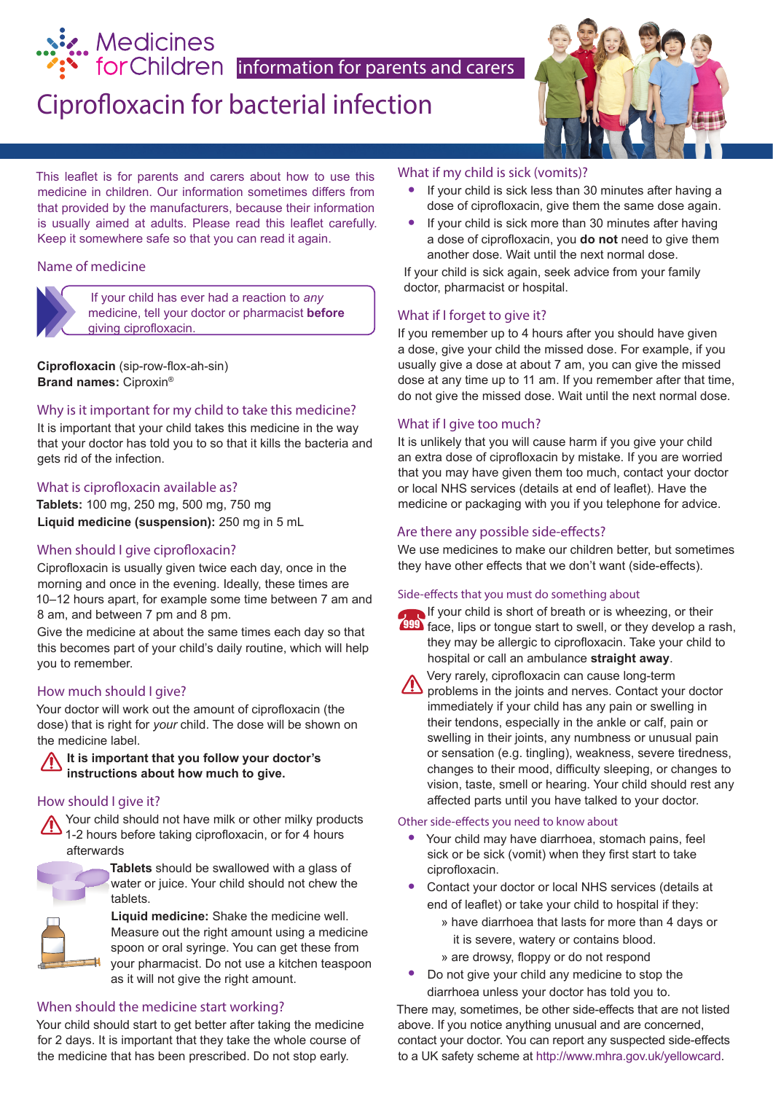

# Ciprofloxacin for bacterial infection



This leaflet is for parents and carers about how to use this medicine in children. Our information sometimes differs from that provided by the manufacturers, because their information is usually aimed at adults. Please read this leaflet carefully. Keep it somewhere safe so that you can read it again.

#### Name of medicine



If your child has ever had a reaction to *any* medicine, tell your doctor or pharmacist **before** giving ciprofloxacin.

**Ciprofloxacin** (sip-row-flox-ah-sin) **Brand names:** Ciproxin®

#### Why is it important for my child to take this medicine?

It is important that your child takes this medicine in the way that your doctor has told you to so that it kills the bacteria and gets rid of the infection.

#### What is ciprofloxacin available as?

**Tablets:** 100 mg, 250 mg, 500 mg, 750 mg **Liquid medicine (suspension):** 250 mg in 5 mL

#### When should I give ciprofloxacin?

Ciprofloxacin is usually given twice each day, once in the morning and once in the evening. Ideally, these times are 10–12 hours apart, for example some time between 7 am and 8 am, and between 7 pm and 8 pm.

Give the medicine at about the same times each day so that this becomes part of your child's daily routine, which will help you to remember.

#### How much should I give?

Your doctor will work out the amount of ciprofloxacin (the dose) that is right for *your* child. The dose will be shown on the medicine label.

#### **It is important that you follow your doctor's instructions about how much to give.**

#### How should I give it?

Your child should not have milk or other milky products 1-2 hours before taking ciprofloxacin, or for 4 hours afterwards

> **Tablets** should be swallowed with a glass of water or juice. Your child should not chew the tablets.



**Liquid medicine:** Shake the medicine well. Measure out the right amount using a medicine spoon or oral syringe. You can get these from your pharmacist. Do not use a kitchen teaspoon as it will not give the right amount.

#### When should the medicine start working?

Your child should start to get better after taking the medicine for 2 days. It is important that they take the whole course of the medicine that has been prescribed. Do not stop early.

#### What if my child is sick (vomits)?

- **•** If your child is sick less than 30 minutes after having a dose of ciprofloxacin, give them the same dose again.
- **•** If your child is sick more than 30 minutes after having a dose of ciprofloxacin, you **do not** need to give them another dose. Wait until the next normal dose.

If your child is sick again, seek advice from your family doctor, pharmacist or hospital.

#### What if I forget to give it?

If you remember up to 4 hours after you should have given a dose, give your child the missed dose. For example, if you usually give a dose at about 7 am, you can give the missed dose at any time up to 11 am. If you remember after that time, do not give the missed dose. Wait until the next normal dose.

#### What if I give too much?

It is unlikely that you will cause harm if you give your child an extra dose of ciprofloxacin by mistake. If you are worried that you may have given them too much, contact your doctor or local NHS services (details at end of leaflet). Have the medicine or packaging with you if you telephone for advice.

#### Are there any possible side-effects?

We use medicines to make our children better, but sometimes they have other effects that we don't want (side-effects).

#### Side-effects that you must do something about

If your child is short of breath or is wheezing, or their **999** face, lips or tongue start to swell, or they develop a rash, they may be allergic to ciprofloxacin. Take your child to hospital or call an ambulance **straight away**.



Very rarely, ciprofloxacin can cause long-term

problems in the joints and nerves. Contact your doctor immediately if your child has any pain or swelling in their tendons, especially in the ankle or calf, pain or swelling in their joints, any numbness or unusual pain or sensation (e.g. tingling), weakness, severe tiredness, changes to their mood, difficulty sleeping, or changes to vision, taste, smell or hearing. Your child should rest any affected parts until you have talked to your doctor.

#### Other side-effects you need to know about

- **•** Your child may have diarrhoea, stomach pains, feel sick or be sick (vomit) when they first start to take ciprofloxacin.
- **•** Contact your doctor or local NHS services (details at end of leaflet) or take your child to hospital if they:
	- » have diarrhoea that lasts for more than 4 days or it is severe, watery or contains blood.
	- » are drowsy, floppy or do not respond
- **•** Do not give your child any medicine to stop the diarrhoea unless your doctor has told you to.

There may, sometimes, be other side-effects that are not listed above. If you notice anything unusual and are concerned, contact your doctor. You can report any suspected side-effects to a UK safety scheme at http://www.mhra.gov.uk/yellowcard.